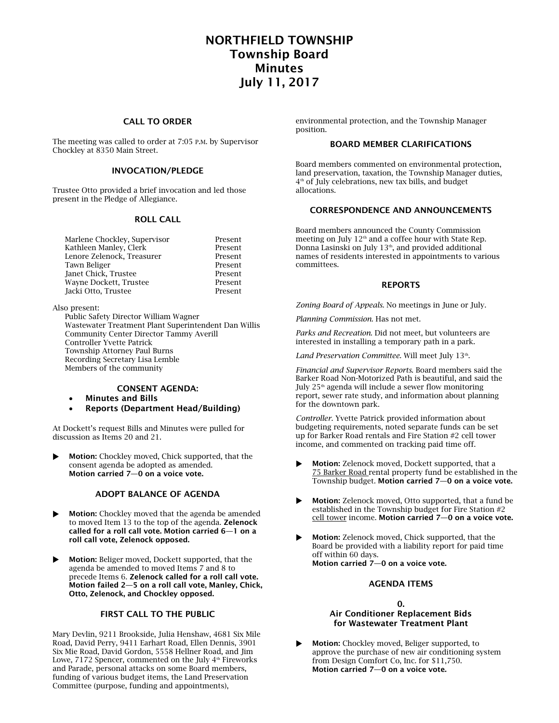# NORTHFIELD TOWNSHIP Township Board Minutes July 11, 2017

## CALL TO ORDER

The meeting was called to order at 7:05 P.M. by Supervisor Chockley at 8350 Main Street.

## INVOCATION/PLEDGE

Trustee Otto provided a brief invocation and led those present in the Pledge of Allegiance.

#### ROLL CALL

| Marlene Chockley, Supervisor | Present |
|------------------------------|---------|
| Kathleen Manley, Clerk       | Present |
| Lenore Zelenock, Treasurer   | Present |
| Tawn Beliger                 | Present |
| Janet Chick, Trustee         | Present |
| Wayne Dockett, Trustee       | Present |
| Jacki Otto, Trustee          | Present |
|                              |         |

#### Also present:

Public Safety Director William Wagner Wastewater Treatment Plant Superintendent Dan Willis Community Center Director Tammy Averill Controller Yvette Patrick Township Attorney Paul Burns Recording Secretary Lisa Lemble Members of the community

## CONSENT AGENDA:

- Minutes and Bills
- Reports (Department Head/Building)

At Dockett's request Bills and Minutes were pulled for discussion as Items 20 and 21.

 Motion: Chockley moved, Chick supported, that the consent agenda be adopted as amended. Motion carried 7—0 on a voice vote.

## ADOPT BALANCE OF AGENDA

- Motion: Chockley moved that the agenda be amended to moved Item 13 to the top of the agenda. Zelenock called for a roll call vote. Motion carried 6—1 on a roll call vote, Zelenock opposed.
- **Motion:** Beliger moved. Dockett supported, that the agenda be amended to moved Items 7 and 8 to precede Items 6. Zelenock called for a roll call vote. Motion failed 2—5 on a roll call vote, Manley, Chick, Otto, Zelenock, and Chockley opposed.

## FIRST CALL TO THE PUBLIC

Mary Devlin, 9211 Brookside, Julia Henshaw, 4681 Six Mile Road, David Perry, 9411 Earhart Road, Ellen Dennis, 3901 Six Mie Road, David Gordon, 5558 Hellner Road, and Jim Lowe, 7172 Spencer, commented on the July  $4<sup>th</sup>$  Fireworks and Parade, personal attacks on some Board members, funding of various budget items, the Land Preservation Committee (purpose, funding and appointments),

environmental protection, and the Township Manager position.

## BOARD MEMBER CLARIFICATIONS

Board members commented on environmental protection, land preservation, taxation, the Township Manager duties, 4 th of July celebrations, new tax bills, and budget allocations.

## CORRESPONDENCE AND ANNOUNCEMENTS

Board members announced the County Commission meeting on July  $12<sup>th</sup>$  and a coffee hour with State Rep. Donna Lasinski on July 13<sup>th</sup>, and provided additional names of residents interested in appointments to various committees.

## REPORTS

*Zoning Board of Appeals*. No meetings in June or July.

*Planning Commission.* Has not met.

*Parks and Recreation*. Did not meet, but volunteers are interested in installing a temporary path in a park.

Land Preservation Committee. Will meet July 13<sup>th</sup>.

*Financial and Supervisor Reports*. Board members said the Barker Road Non-Motorized Path is beautiful, and said the July 25<sup>th</sup> agenda will include a sewer flow monitoring report, sewer rate study, and information about planning for the downtown park.

*Controller.* Yvette Patrick provided information about budgeting requirements, noted separate funds can be set up for Barker Road rentals and Fire Station #2 cell tower income, and commented on tracking paid time off.

- Motion: Zelenock moved, Dockett supported, that a 75 Barker Road rental property fund be established in the Township budget. Motion carried 7—0 on a voice vote.
- Motion: Zelenock moved, Otto supported, that a fund be established in the Township budget for Fire Station #2 cell tower income. Motion carried 7-0 on a voice vote.
- Motion: Zelenock moved, Chick supported, that the Board be provided with a liability report for paid time off within 60 days. Motion carried 7—0 on a voice vote.

## AGENDA ITEMS

## $\Omega$ .

#### Air Conditioner Replacement Bids for Wastewater Treatment Plant

 Motion: Chockley moved, Beliger supported, to approve the purchase of new air conditioning system from Design Comfort Co, Inc. for \$11,750. Motion carried 7—0 on a voice vote.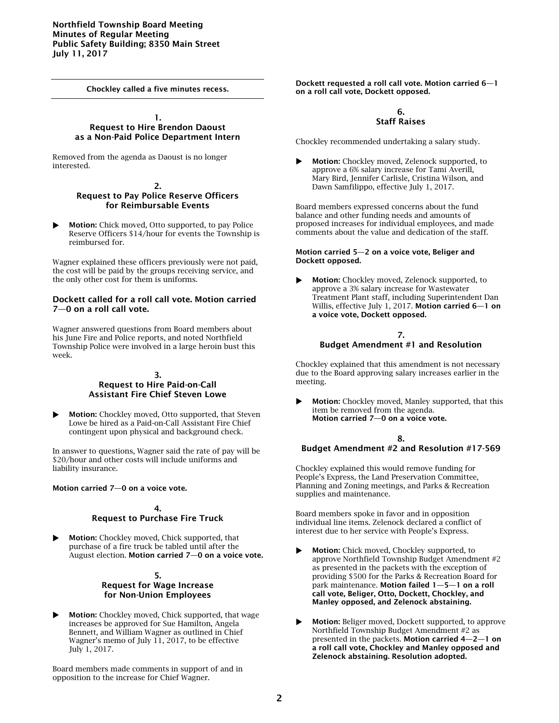Chockley called a five minutes recess.

#### 1. Request to Hire Brendon Daoust as a Non-Paid Police Department Intern

Removed from the agenda as Daoust is no longer interested.

#### 2. Request to Pay Police Reserve Officers for Reimbursable Events

 Motion: Chick moved, Otto supported, to pay Police Reserve Officers \$14/hour for events the Township is reimbursed for.

Wagner explained these officers previously were not paid, the cost will be paid by the groups receiving service, and the only other cost for them is uniforms.

## Dockett called for a roll call vote. Motion carried 7—0 on a roll call vote.

Wagner answered questions from Board members about his June Fire and Police reports, and noted Northfield Township Police were involved in a large heroin bust this week.

#### 3. Request to Hire Paid-on-Call Assistant Fire Chief Steven Lowe

**Motion:** Chockley moved, Otto supported, that Steven Lowe be hired as a Paid-on-Call Assistant Fire Chief contingent upon physical and background check.

In answer to questions, Wagner said the rate of pay will be \$20/hour and other costs will include uniforms and liability insurance.

Motion carried 7—0 on a voice vote.

#### 4. Request to Purchase Fire Truck

 Motion: Chockley moved, Chick supported, that purchase of a fire truck be tabled until after the August election. Motion carried 7—0 on a voice vote.

## 5. Request for Wage Increase for Non-Union Employees

**Motion:** Chockley moved, Chick supported, that wage increases be approved for Sue Hamilton, Angela Bennett, and William Wagner as outlined in Chief Wagner's memo of July 11, 2017, to be effective July 1, 2017.

Board members made comments in support of and in opposition to the increase for Chief Wagner.

Dockett requested a roll call vote. Motion carried 6—1 on a roll call vote, Dockett opposed.

#### 6. Staff Raises

Chockley recommended undertaking a salary study.

 Motion: Chockley moved, Zelenock supported, to approve a 6% salary increase for Tami Averill, Mary Bird, Jennifer Carlisle, Cristina Wilson, and Dawn Samfilippo, effective July 1, 2017.

Board members expressed concerns about the fund balance and other funding needs and amounts of proposed increases for individual employees, and made comments about the value and dedication of the staff.

#### Motion carried 5—2 on a voice vote, Beliger and Dockett opposed.

 Motion: Chockley moved, Zelenock supported, to approve a 3% salary increase for Wastewater Treatment Plant staff, including Superintendent Dan Willis, effective July 1, 2017. Motion carried 6—1 on a voice vote, Dockett opposed.

## 7. Budget Amendment #1 and Resolution

Chockley explained that this amendment is not necessary due to the Board approving salary increases earlier in the meeting.

 Motion: Chockley moved, Manley supported, that this item be removed from the agenda. Motion carried 7—0 on a voice vote.

## 8. Budget Amendment #2 and Resolution #17-569

Chockley explained this would remove funding for People's Express, the Land Preservation Committee, Planning and Zoning meetings, and Parks & Recreation supplies and maintenance.

Board members spoke in favor and in opposition individual line items. Zelenock declared a conflict of interest due to her service with People's Express.

- Motion: Chick moved, Chockley supported, to approve Northfield Township Budget Amendment #2 as presented in the packets with the exception of providing \$500 for the Parks & Recreation Board for park maintenance. Motion failed 1—5—1 on a roll call vote, Beliger, Otto, Dockett, Chockley, and Manley opposed, and Zelenock abstaining.
- Motion: Beliger moved, Dockett supported, to approve Northfield Township Budget Amendment #2 as presented in the packets. Motion carried 4—2—1 on a roll call vote, Chockley and Manley opposed and Zelenock abstaining. Resolution adopted.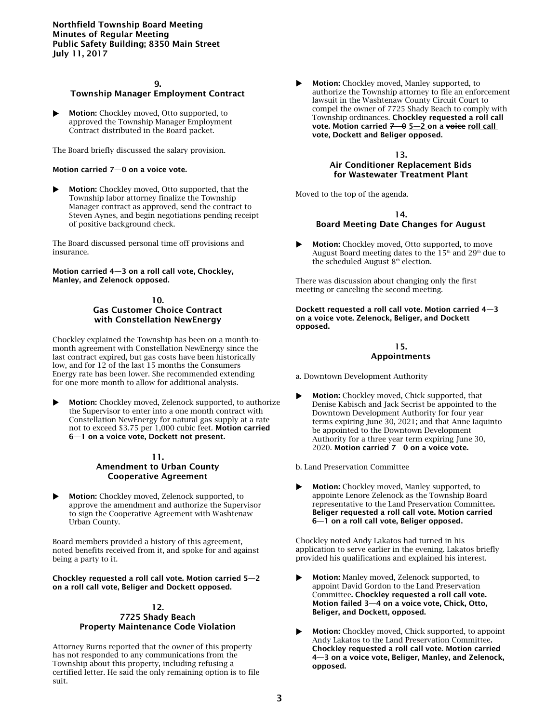## 9. Township Manager Employment Contract

**Motion:** Chockley moved, Otto supported, to approved the Township Manager Employment Contract distributed in the Board packet.

The Board briefly discussed the salary provision.

#### Motion carried 7—0 on a voice vote.

 Motion: Chockley moved, Otto supported, that the Township labor attorney finalize the Township Manager contract as approved, send the contract to Steven Aynes, and begin negotiations pending receipt of positive background check.

The Board discussed personal time off provisions and insurance.

Motion carried 4—3 on a roll call vote, Chockley, Manley, and Zelenock opposed.

## 10. Gas Customer Choice Contract with Constellation NewEnergy

Chockley explained the Township has been on a month-tomonth agreement with Constellation NewEnergy since the last contract expired, but gas costs have been historically low, and for 12 of the last 15 months the Consumers Energy rate has been lower. She recommended extending for one more month to allow for additional analysis.

 Motion: Chockley moved, Zelenock supported, to authorize the Supervisor to enter into a one month contract with Constellation NewEnergy for natural gas supply at a rate not to exceed \$3.75 per 1,000 cubic feet. Motion carried 6—1 on a voice vote, Dockett not present.

### 11. Amendment to Urban County Cooperative Agreement

 Motion: Chockley moved, Zelenock supported, to approve the amendment and authorize the Supervisor to sign the Cooperative Agreement with Washtenaw Urban County.

Board members provided a history of this agreement, noted benefits received from it, and spoke for and against being a party to it.

#### Chockley requested a roll call vote. Motion carried 5—2 on a roll call vote, Beliger and Dockett opposed.

## 12. 7725 Shady Beach Property Maintenance Code Violation

Attorney Burns reported that the owner of this property has not responded to any communications from the Township about this property, including refusing a certified letter. He said the only remaining option is to file suit.

 Motion: Chockley moved, Manley supported, to authorize the Township attorney to file an enforcement lawsuit in the Washtenaw County Circuit Court to compel the owner of 7725 Shady Beach to comply with Township ordinances. Chockley requested a roll call vote. Motion carried 7-0 5-2 on a voice roll call vote, Dockett and Beliger opposed.

#### 13.

## Air Conditioner Replacement Bids for Wastewater Treatment Plant

Moved to the top of the agenda.

## 14.

## Board Meeting Date Changes for August

 Motion: Chockley moved, Otto supported, to move August Board meeting dates to the  $15<sup>th</sup>$  and  $29<sup>th</sup>$  due to the scheduled August 8<sup>th</sup> election.

There was discussion about changing only the first meeting or canceling the second meeting.

Dockett requested a roll call vote. Motion carried 4—3 on a voice vote. Zelenock, Beliger, and Dockett opposed.

## 15.

## Appointments

a. Downtown Development Authority

 Motion: Chockley moved, Chick supported, that Denise Kabisch and Jack Secrist be appointed to the Downtown Development Authority for four year terms expiring June 30, 2021; and that Anne Iaquinto be appointed to the Downtown Development Authority for a three year term expiring June 30, 2020. Motion carried 7—0 on a voice vote.

b. Land Preservation Committee

 Motion: Chockley moved, Manley supported, to appointe Lenore Zelenock as the Township Board representative to the Land Preservation Committee. Beliger requested a roll call vote. Motion carried 6—1 on a roll call vote, Beliger opposed.

Chockley noted Andy Lakatos had turned in his application to serve earlier in the evening. Lakatos briefly provided his qualifications and explained his interest.

- Motion: Manley moved, Zelenock supported, to appoint David Gordon to the Land Preservation Committee. Chockley requested a roll call vote. Motion failed 3—4 on a voice vote, Chick, Otto, Beliger, and Dockett, opposed.
- Motion: Chockley moved, Chick supported, to appoint Andy Lakatos to the Land Preservation Committee. Chockley requested a roll call vote. Motion carried 4—3 on a voice vote, Beliger, Manley, and Zelenock, opposed.